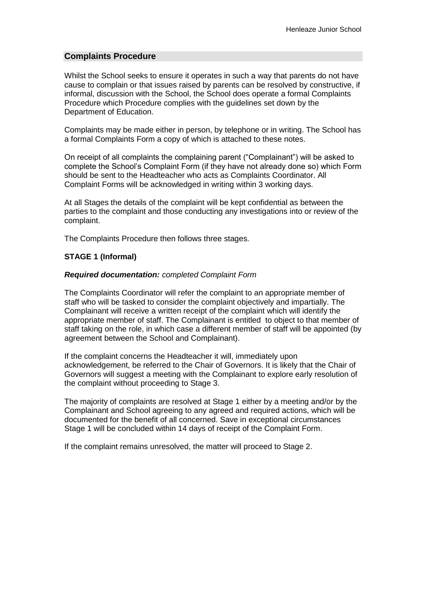### **Complaints Procedure**

Whilst the School seeks to ensure it operates in such a way that parents do not have cause to complain or that issues raised by parents can be resolved by constructive, if informal, discussion with the School, the School does operate a formal Complaints Procedure which Procedure complies with the guidelines set down by the Department of Education.

Complaints may be made either in person, by telephone or in writing. The School has a formal Complaints Form a copy of which is attached to these notes.

On receipt of all complaints the complaining parent ("Complainant") will be asked to complete the School's Complaint Form (if they have not already done so) which Form should be sent to the Headteacher who acts as Complaints Coordinator. All Complaint Forms will be acknowledged in writing within 3 working days.

At all Stages the details of the complaint will be kept confidential as between the parties to the complaint and those conducting any investigations into or review of the complaint.

The Complaints Procedure then follows three stages.

#### **STAGE 1 (Informal)**

#### *Required documentation: completed Complaint Form*

The Complaints Coordinator will refer the complaint to an appropriate member of staff who will be tasked to consider the complaint objectively and impartially. The Complainant will receive a written receipt of the complaint which will identify the appropriate member of staff. The Complainant is entitled to object to that member of staff taking on the role, in which case a different member of staff will be appointed (by agreement between the School and Complainant).

If the complaint concerns the Headteacher it will, immediately upon acknowledgement, be referred to the Chair of Governors. It is likely that the Chair of Governors will suggest a meeting with the Complainant to explore early resolution of the complaint without proceeding to Stage 3.

The majority of complaints are resolved at Stage 1 either by a meeting and/or by the Complainant and School agreeing to any agreed and required actions, which will be documented for the benefit of all concerned. Save in exceptional circumstances Stage 1 will be concluded within 14 days of receipt of the Complaint Form.

If the complaint remains unresolved, the matter will proceed to Stage 2.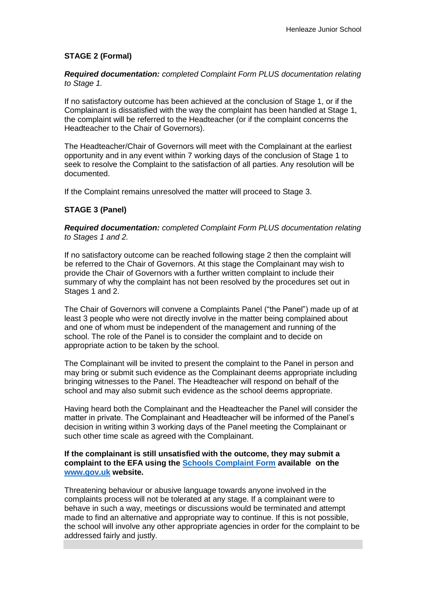# **STAGE 2 (Formal)**

*Required documentation: completed Complaint Form PLUS documentation relating to Stage 1.*

If no satisfactory outcome has been achieved at the conclusion of Stage 1, or if the Complainant is dissatisfied with the way the complaint has been handled at Stage 1, the complaint will be referred to the Headteacher (or if the complaint concerns the Headteacher to the Chair of Governors).

The Headteacher/Chair of Governors will meet with the Complainant at the earliest opportunity and in any event within 7 working days of the conclusion of Stage 1 to seek to resolve the Complaint to the satisfaction of all parties. Any resolution will be documented.

If the Complaint remains unresolved the matter will proceed to Stage 3.

# **STAGE 3 (Panel)**

*Required documentation: completed Complaint Form PLUS documentation relating to Stages 1 and 2.*

If no satisfactory outcome can be reached following stage 2 then the complaint will be referred to the Chair of Governors. At this stage the Complainant may wish to provide the Chair of Governors with a further written complaint to include their summary of why the complaint has not been resolved by the procedures set out in Stages 1 and 2.

The Chair of Governors will convene a Complaints Panel ("the Panel") made up of at least 3 people who were not directly involve in the matter being complained about and one of whom must be independent of the management and running of the school. The role of the Panel is to consider the complaint and to decide on appropriate action to be taken by the school.

The Complainant will be invited to present the complaint to the Panel in person and may bring or submit such evidence as the Complainant deems appropriate including bringing witnesses to the Panel. The Headteacher will respond on behalf of the school and may also submit such evidence as the school deems appropriate.

Having heard both the Complainant and the Headteacher the Panel will consider the matter in private. The Complainant and Headteacher will be informed of the Panel's decision in writing within 3 working days of the Panel meeting the Complainant or such other time scale as agreed with the Complainant.

## **If the complainant is still unsatisfied with the outcome, they may submit a complaint to the EFA using the [Schools Complaint Form](https://form.education.gov.uk/fillform.php?self=1&form_id=cCCNJ1xSfBE&type=form&ShowMsg=1&form_name=Contact+the+Department+for+Education&noRegister=false&ret=%2Fmodule%2Fservices&noLoginPrompt=1) available on the [www.gov.uk](http://www.gov.uk/) website.**

Threatening behaviour or abusive language towards anyone involved in the complaints process will not be tolerated at any stage. If a complainant were to behave in such a way, meetings or discussions would be terminated and attempt made to find an alternative and appropriate way to continue. If this is not possible, the school will involve any other appropriate agencies in order for the complaint to be addressed fairly and justly.